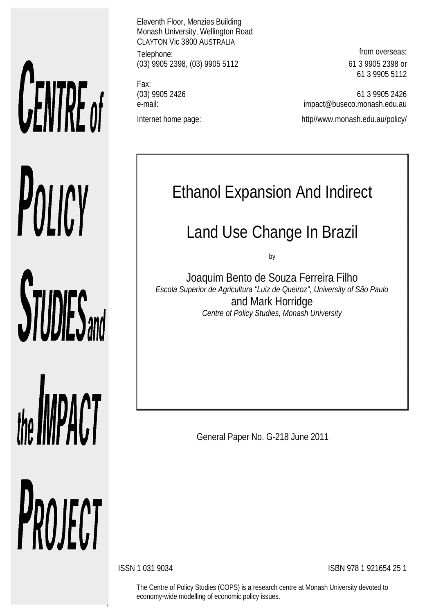# **UENTRE** of POLICY

**STUDIES** and

the **IMPACT** PROJECT

Eleventh Floor, Menzies Building Monash University, Wellington Road CLAYTON Vic 3800 AUSTRALIA Telephone: **from overseas:** (03) 9905 2398, (03) 9905 5112 61 3 9905 2398 or

Fax: Internet home page: http://www.monash.edu.au/policy/

61 3 9905 5112

(03) 9905 2426 61 3 9905 2426 e-mail: impact@buseco.monash.edu.au

# Ethanol Expansion And Indirect

## Land Use Change In Brazil

by

Joaquim Bento de Souza Ferreira Filho *Escola Superior de Agricultura "Luiz de Queiroz", University of São Paulo* and Mark Horridge *Centre of Policy Studies, Monash University*

General Paper No. G-218 June 2011

ISSN 1 031 9034 ISBN 978 1 921654 25 1

The Centre of Policy Studies (COPS) is a research centre at Monash University devoted to economy-wide modelling of economic policy issues.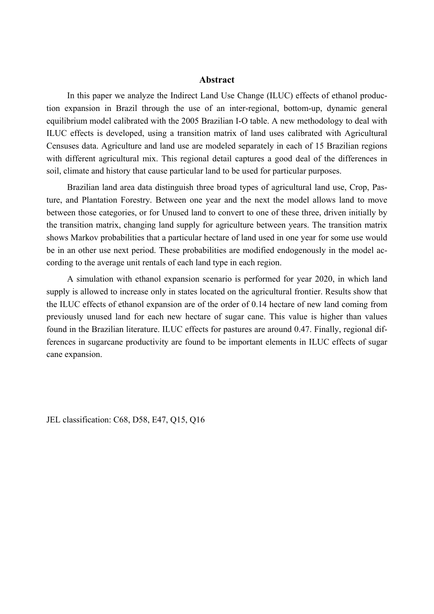#### **Abstract**

In this paper we analyze the Indirect Land Use Change (ILUC) effects of ethanol production expansion in Brazil through the use of an inter-regional, bottom-up, dynamic general equilibrium model calibrated with the 2005 Brazilian I-O table. A new methodology to deal with ILUC effects is developed, using a transition matrix of land uses calibrated with Agricultural Censuses data. Agriculture and land use are modeled separately in each of 15 Brazilian regions with different agricultural mix. This regional detail captures a good deal of the differences in soil, climate and history that cause particular land to be used for particular purposes.

Brazilian land area data distinguish three broad types of agricultural land use, Crop, Pasture, and Plantation Forestry. Between one year and the next the model allows land to move between those categories, or for Unused land to convert to one of these three, driven initially by the transition matrix, changing land supply for agriculture between years. The transition matrix shows Markov probabilities that a particular hectare of land used in one year for some use would be in an other use next period. These probabilities are modified endogenously in the model according to the average unit rentals of each land type in each region.

A simulation with ethanol expansion scenario is performed for year 2020, in which land supply is allowed to increase only in states located on the agricultural frontier. Results show that the ILUC effects of ethanol expansion are of the order of 0.14 hectare of new land coming from previously unused land for each new hectare of sugar cane. This value is higher than values found in the Brazilian literature. ILUC effects for pastures are around 0.47. Finally, regional differences in sugarcane productivity are found to be important elements in ILUC effects of sugar cane expansion.

JEL classification: C68, D58, E47, Q15, Q16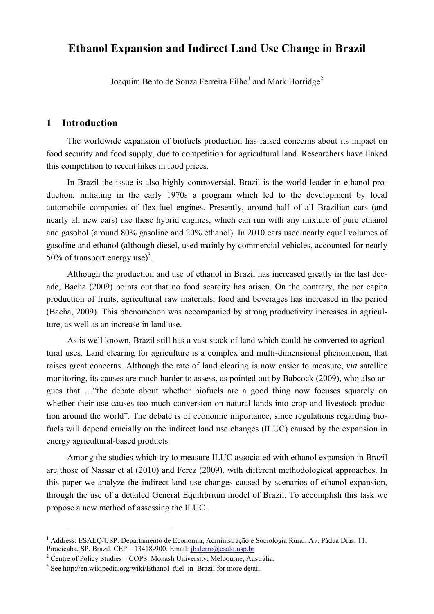### **Ethanol Expansion and Indirect Land Use Change in Brazil**

Joaquim Bento de Souza Ferreira Filho<sup>1</sup> and Mark Horridge<sup>2</sup>

#### **1 Introduction**

 $\overline{a}$ 

The worldwide expansion of biofuels production has raised concerns about its impact on food security and food supply, due to competition for agricultural land. Researchers have linked this competition to recent hikes in food prices.

In Brazil the issue is also highly controversial. Brazil is the world leader in ethanol production, initiating in the early 1970s a program which led to the development by local automobile companies of flex-fuel engines. Presently, around half of all Brazilian cars (and nearly all new cars) use these hybrid engines, which can run with any mixture of pure ethanol and gasohol (around 80% gasoline and 20% ethanol). In 2010 cars used nearly equal volumes of gasoline and ethanol (although diesel, used mainly by commercial vehicles, accounted for nearly 50% of transport energy use)<sup>3</sup>.

Although the production and use of ethanol in Brazil has increased greatly in the last decade, Bacha (2009) points out that no food scarcity has arisen. On the contrary, the per capita production of fruits, agricultural raw materials, food and beverages has increased in the period (Bacha, 2009). This phenomenon was accompanied by strong productivity increases in agriculture, as well as an increase in land use.

As is well known, Brazil still has a vast stock of land which could be converted to agricultural uses. Land clearing for agriculture is a complex and multi-dimensional phenomenon, that raises great concerns. Although the rate of land clearing is now easier to measure, *via* satellite monitoring, its causes are much harder to assess, as pointed out by Babcock (2009), who also argues that …"the debate about whether biofuels are a good thing now focuses squarely on whether their use causes too much conversion on natural lands into crop and livestock production around the world". The debate is of economic importance, since regulations regarding biofuels will depend crucially on the indirect land use changes (ILUC) caused by the expansion in energy agricultural-based products.

Among the studies which try to measure ILUC associated with ethanol expansion in Brazil are those of Nassar et al (2010) and Ferez (2009), with different methodological approaches. In this paper we analyze the indirect land use changes caused by scenarios of ethanol expansion, through the use of a detailed General Equilibrium model of Brazil. To accomplish this task we propose a new method of assessing the ILUC.

<sup>&</sup>lt;sup>1</sup> Address: ESALQ/USP. Departamento de Economia, Administração e Sociologia Rural. Av. Pádua Dias, 11. Piracicaba, SP. Brazil. CEP – 13418-900. Email: jbsferre@esalq.usp.br

<sup>&</sup>lt;sup>2</sup> Centre of Policy Studies - COPS. Monash University, Melbourne, Austrália.

<sup>&</sup>lt;sup>3</sup> See http://en.wikipedia.org/wiki/Ethanol\_fuel\_in\_Brazil for more detail.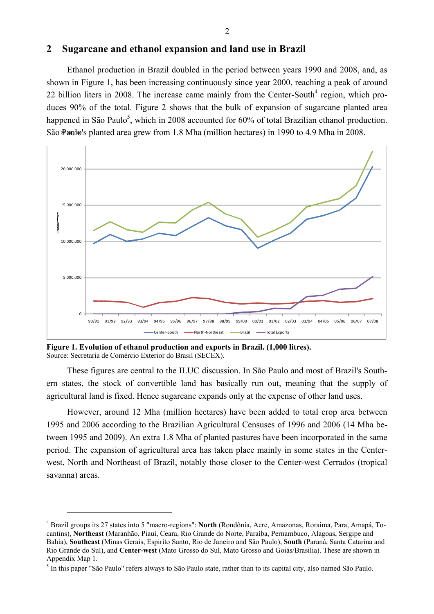#### **2 Sugarcane and ethanol expansion and land use in Brazil**

Ethanol production in Brazil doubled in the period between years 1990 and 2008, and, as shown in Figure 1, has been increasing continuously since year 2000, reaching a peak of around 22 billion liters in 2008. The increase came mainly from the Center-South $4$  region, which produces 90% of the total. Figure 2 shows that the bulk of expansion of sugarcane planted area happened in São Paulo<sup>5</sup>, which in 2008 accounted for 60% of total Brazilian ethanol production. São Paulo's planted area grew from 1.8 Mha (million hectares) in 1990 to 4.9 Mha in 2008.



**Figure 1. Evolution of ethanol production and exports in Brazil. (1,000 litres).** Source: Secretaria de Comércio Exterior do Brasil (SECEX).

 $\overline{a}$ 

These figures are central to the ILUC discussion. In São Paulo and most of Brazil's Southern states, the stock of convertible land has basically run out, meaning that the supply of agricultural land is fixed. Hence sugarcane expands only at the expense of other land uses.

However, around 12 Mha (million hectares) have been added to total crop area between 1995 and 2006 according to the Brazilian Agricultural Censuses of 1996 and 2006 (14 Mha between 1995 and 2009). An extra 1.8 Mha of planted pastures have been incorporated in the same period. The expansion of agricultural area has taken place mainly in some states in the Centerwest, North and Northeast of Brazil, notably those closer to the Center-west Cerrados (tropical savanna) areas.

<sup>4</sup> Brazil groups its 27 states into 5 "macro-regions": **North** (Rondônia, Acre, Amazonas, Roraima, Para, Amapá, Tocantins), **Northeast** (Maranhão, Piauí, Ceara, Rio Grande do Norte, Paraíba, Pernambuco, Alagoas, Sergipe and Bahia), **Southeast** (Minas Gerais, Espirito Santo, Rio de Janeiro and São Paulo), **South** (Paraná, Santa Catarina and Rio Grande do Sul), and **Center-west** (Mato Grosso do Sul, Mato Grosso and Goiás/Brasilia). These are shown in Appendix Map 1.

<sup>&</sup>lt;sup>5</sup> In this paper "São Paulo" refers always to São Paulo state, rather than to its capital city, also named São Paulo.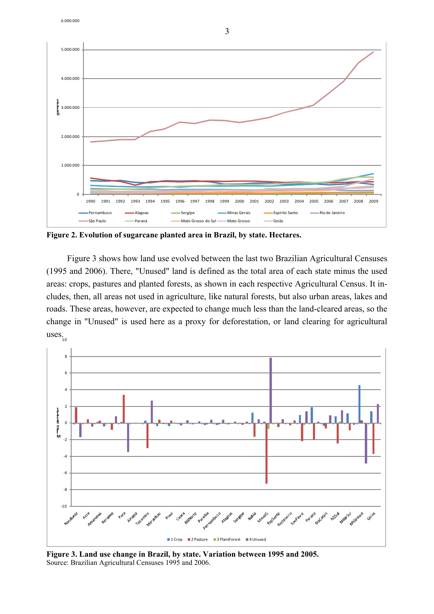



**Figure 2. Evolution of sugarcane planted area in Brazil, by state. Hectares.**

Figure 3 shows how land use evolved between the last two Brazilian Agricultural Censuses (1995 and 2006). There, "Unused" land is defined as the total area of each state minus the used areas: crops, pastures and planted forests, as shown in each respective Agricultural Census. It includes, then, all areas not used in agriculture, like natural forests, but also urban areas, lakes and roads. These areas, however, are expected to change much less than the land-cleared areas, so the change in "Unused" is used here as a proxy for deforestation, or land clearing for agricultural uses. 10



**Figure 3. Land use change in Brazil, by state. Variation between 1995 and 2005.** Source: Brazilian Agricultural Censuses 1995 and 2006.

3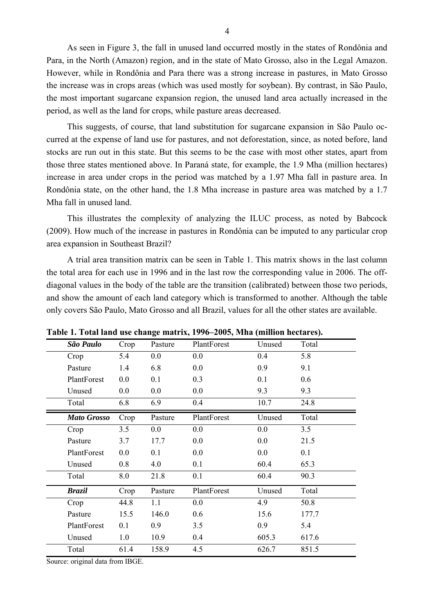As seen in Figure 3, the fall in unused land occurred mostly in the states of Rondônia and Para, in the North (Amazon) region, and in the state of Mato Grosso, also in the Legal Amazon. However, while in Rondônia and Para there was a strong increase in pastures, in Mato Grosso the increase was in crops areas (which was used mostly for soybean). By contrast, in São Paulo, the most important sugarcane expansion region, the unused land area actually increased in the period, as well as the land for crops, while pasture areas decreased.

This suggests, of course, that land substitution for sugarcane expansion in São Paulo occurred at the expense of land use for pastures, and not deforestation, since, as noted before, land stocks are run out in this state. But this seems to be the case with most other states, apart from those three states mentioned above. In Paraná state, for example, the 1.9 Mha (million hectares) increase in area under crops in the period was matched by a 1.97 Mha fall in pasture area. In Rondônia state, on the other hand, the 1.8 Mha increase in pasture area was matched by a 1.7 Mha fall in unused land.

This illustrates the complexity of analyzing the ILUC process, as noted by Babcock (2009). How much of the increase in pastures in Rondônia can be imputed to any particular crop area expansion in Southeast Brazil?

A trial area transition matrix can be seen in Table 1. This matrix shows in the last column the total area for each use in 1996 and in the last row the corresponding value in 2006. The offdiagonal values in the body of the table are the transition (calibrated) between those two periods, and show the amount of each land category which is transformed to another. Although the table only covers São Paulo, Mato Grosso and all Brazil, values for all the other states are available.

| São Paulo          | Crop | Pasture | PlantForest | Unused | Total |
|--------------------|------|---------|-------------|--------|-------|
| Crop               | 5.4  | 0.0     | 0.0         | 0.4    | 5.8   |
| Pasture            | 1.4  | 6.8     | 0.0         | 0.9    | 9.1   |
| PlantForest        | 0.0  | 0.1     | 0.3         | 0.1    | 0.6   |
| Unused             | 0.0  | 0.0     | 0.0         | 9.3    | 9.3   |
| Total              | 6.8  | 6.9     | 0.4         | 10.7   | 24.8  |
| <b>Mato Grosso</b> | Crop | Pasture | PlantForest | Unused | Total |
| Crop               | 3.5  | $0.0\,$ | 0.0         | 0.0    | 3.5   |
| Pasture            | 3.7  | 17.7    | 0.0         | 0.0    | 21.5  |
| PlantForest        | 0.0  | 0.1     | 0.0         | 0.0    | 0.1   |
| Unused             | 0.8  | 4.0     | 0.1         | 60.4   | 65.3  |
| Total              | 8.0  | 21.8    | 0.1         | 60.4   | 90.3  |
| <b>Brazil</b>      | Crop | Pasture | PlantForest | Unused | Total |
| Crop               | 44.8 | 1.1     | 0.0         | 4.9    | 50.8  |
| Pasture            | 15.5 | 146.0   | 0.6         | 15.6   | 177.7 |
| PlantForest        | 0.1  | 0.9     | 3.5         | 0.9    | 5.4   |
| Unused             | 1.0  | 10.9    | 0.4         | 605.3  | 617.6 |
| Total              | 61.4 | 158.9   | 4.5         | 626.7  | 851.5 |
|                    |      |         |             |        |       |

**Table 1. Total land use change matrix, 1996–2005, Mha (million hectares).**

Source: original data from IBGE.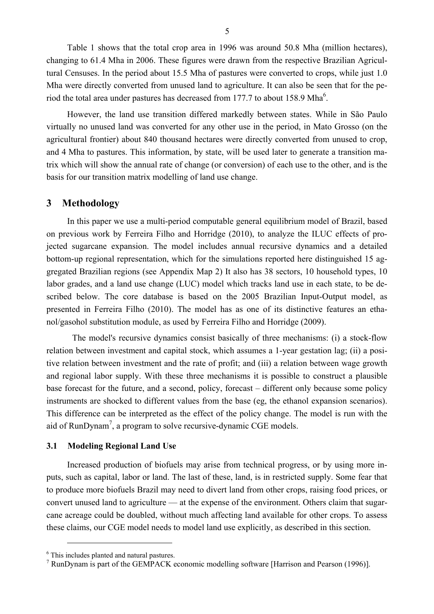Table 1 shows that the total crop area in 1996 was around 50.8 Mha (million hectares), changing to 61.4 Mha in 2006. These figures were drawn from the respective Brazilian Agricultural Censuses. In the period about 15.5 Mha of pastures were converted to crops, while just 1.0 Mha were directly converted from unused land to agriculture. It can also be seen that for the period the total area under pastures has decreased from 177.7 to about 158.9 Mha<sup>6</sup>.

However, the land use transition differed markedly between states. While in São Paulo virtually no unused land was converted for any other use in the period, in Mato Grosso (on the agricultural frontier) about 840 thousand hectares were directly converted from unused to crop, and 4 Mha to pastures. This information, by state, will be used later to generate a transition matrix which will show the annual rate of change (or conversion) of each use to the other, and is the basis for our transition matrix modelling of land use change.

#### **3 Methodology**

In this paper we use a multi-period computable general equilibrium model of Brazil, based on previous work by Ferreira Filho and Horridge (2010), to analyze the ILUC effects of projected sugarcane expansion. The model includes annual recursive dynamics and a detailed bottom-up regional representation, which for the simulations reported here distinguished 15 aggregated Brazilian regions (see Appendix Map 2) It also has 38 sectors, 10 household types, 10 labor grades, and a land use change (LUC) model which tracks land use in each state, to be described below. The core database is based on the 2005 Brazilian Input-Output model, as presented in Ferreira Filho (2010). The model has as one of its distinctive features an ethanol/gasohol substitution module, as used by Ferreira Filho and Horridge (2009).

The model's recursive dynamics consist basically of three mechanisms: (i) a stock-flow relation between investment and capital stock, which assumes a 1-year gestation lag; (ii) a positive relation between investment and the rate of profit; and (iii) a relation between wage growth and regional labor supply. With these three mechanisms it is possible to construct a plausible base forecast for the future, and a second, policy, forecast – different only because some policy instruments are shocked to different values from the base (eg, the ethanol expansion scenarios). This difference can be interpreted as the effect of the policy change. The model is run with the aid of RunDynam<sup>7</sup>, a program to solve recursive-dynamic CGE models.

#### **3.1 Modeling Regional Land Use**

Increased production of biofuels may arise from technical progress, or by using more inputs, such as capital, labor or land. The last of these, land, is in restricted supply. Some fear that to produce more biofuels Brazil may need to divert land from other crops, raising food prices, or convert unused land to agriculture — at the expense of the environment. Others claim that sugarcane acreage could be doubled, without much affecting land available for other crops. To assess these claims, our CGE model needs to model land use explicitly, as described in this section.

 $\overline{a}$ 

<sup>&</sup>lt;sup>6</sup> This includes planted and natural pastures.

<sup>&</sup>lt;sup>7</sup> RunDynam is part of the GEMPACK economic modelling software [Harrison and Pearson (1996)].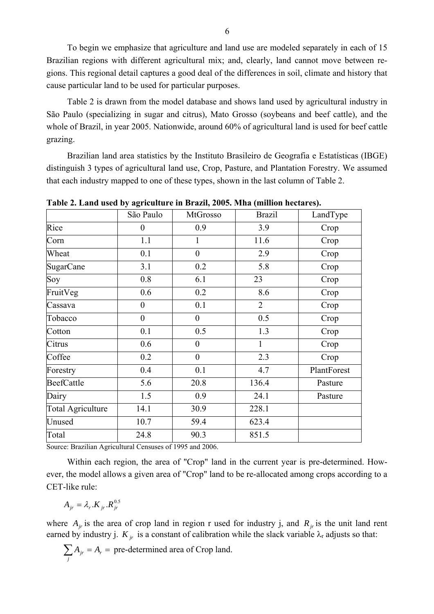To begin we emphasize that agriculture and land use are modeled separately in each of 15 Brazilian regions with different agricultural mix; and, clearly, land cannot move between regions. This regional detail captures a good deal of the differences in soil, climate and history that cause particular land to be used for particular purposes.

Table 2 is drawn from the model database and shows land used by agricultural industry in São Paulo (specializing in sugar and citrus), Mato Grosso (soybeans and beef cattle), and the whole of Brazil, in year 2005. Nationwide, around 60% of agricultural land is used for beef cattle grazing.

Brazilian land area statistics by the Instituto Brasileiro de Geografia e Estatísticas (IBGE) distinguish 3 types of agricultural land use, Crop, Pasture, and Plantation Forestry. We assumed that each industry mapped to one of these types, shown in the last column of Table 2.

|                          | São Paulo      | MtGrosso         | <b>Brazil</b>  | LandType    |
|--------------------------|----------------|------------------|----------------|-------------|
| Rice                     | $\theta$       | 0.9              | 3.9            | Crop        |
| Corn                     | 1.1            | $\mathbf{1}$     | 11.6           | Crop        |
| Wheat                    | 0.1            | $\overline{0}$   | 2.9            | Crop        |
| <b>SugarCane</b>         | 3.1            | 0.2              | 5.8            | Crop        |
| Soy                      | 0.8            | 6.1              | 23             | Crop        |
| FruitVeg                 | 0.6            | 0.2              | 8.6            | Crop        |
| Cassava                  | $\overline{0}$ | 0.1              | $\overline{2}$ | Crop        |
| Tobacco                  | $\mathbf{0}$   | $\overline{0}$   | 0.5            | Crop        |
| Cotton                   | 0.1            | 0.5              | 1.3            | Crop        |
| Citrus                   | 0.6            | $\boldsymbol{0}$ | 1              | Crop        |
| Coffee                   | 0.2            | $\boldsymbol{0}$ | 2.3            | Crop        |
| Forestry                 | 0.4            | 0.1              | 4.7            | PlantForest |
| BeefCattle               | 5.6            | 20.8             | 136.4          | Pasture     |
| Dairy                    | 1.5            | 0.9              | 24.1           | Pasture     |
| <b>Total Agriculture</b> | 14.1           | 30.9             | 228.1          |             |
| Unused                   | 10.7           | 59.4             | 623.4          |             |
| Total                    | 24.8           | 90.3             | 851.5          |             |

**Table 2. Land used by agriculture in Brazil, 2005. Mha (million hectares).**

Source: Brazilian Agricultural Censuses of 1995 and 2006.

Within each region, the area of "Crop" land in the current year is pre-determined. However, the model allows a given area of "Crop" land to be re-allocated among crops according to a CET-like rule:

$$
A_{jr} = \lambda_r . K_{jr} . R_{jr}^{0.5}
$$

where  $A_{ir}$  is the area of crop land in region r used for industry j, and  $R_{ir}$  is the unit land rent earned by industry j.  $K_{ir}$  is a constant of calibration while the slack variable  $\lambda_r$  adjusts so that:

$$
\sum_{j} A_{jr} = A_r = \text{pre-determined area of Crop land.}
$$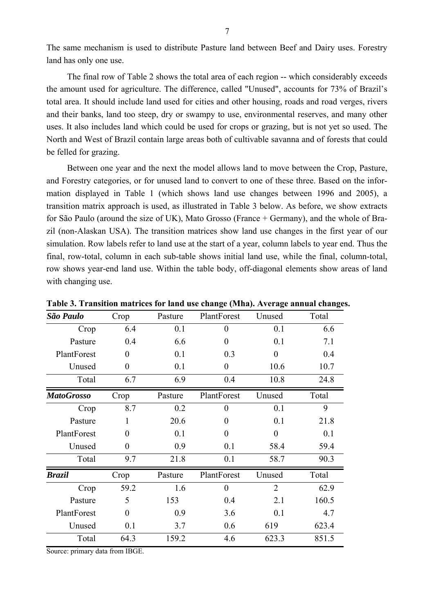The same mechanism is used to distribute Pasture land between Beef and Dairy uses. Forestry land has only one use.

The final row of Table 2 shows the total area of each region -- which considerably exceeds the amount used for agriculture. The difference, called "Unused", accounts for 73% of Brazil's total area. It should include land used for cities and other housing, roads and road verges, rivers and their banks, land too steep, dry or swampy to use, environmental reserves, and many other uses. It also includes land which could be used for crops or grazing, but is not yet so used. The North and West of Brazil contain large areas both of cultivable savanna and of forests that could be felled for grazing.

Between one year and the next the model allows land to move between the Crop, Pasture, and Forestry categories, or for unused land to convert to one of these three. Based on the information displayed in Table 1 (which shows land use changes between 1996 and 2005), a transition matrix approach is used, as illustrated in Table 3 below. As before, we show extracts for São Paulo (around the size of UK), Mato Grosso (France + Germany), and the whole of Brazil (non-Alaskan USA). The transition matrices show land use changes in the first year of our simulation. Row labels refer to land use at the start of a year, column labels to year end. Thus the final, row-total, column in each sub-table shows initial land use, while the final, column-total, row shows year-end land use. Within the table body, off-diagonal elements show areas of land with changing use.

| São Paulo         | Crop     | Pasture | PlantForest    | Unused         | Total |
|-------------------|----------|---------|----------------|----------------|-------|
| Crop              | 6.4      | 0.1     | $\overline{0}$ | 0.1            | 6.6   |
| Pasture           | 0.4      | 6.6     | $\overline{0}$ | 0.1            | 7.1   |
| PlantForest       | $\theta$ | 0.1     | 0.3            | $\overline{0}$ | 0.4   |
| Unused            | $\theta$ | 0.1     | $\theta$       | 10.6           | 10.7  |
| Total             | 6.7      | 6.9     | 0.4            | 10.8           | 24.8  |
| <b>MatoGrosso</b> | Crop     | Pasture | PlantForest    | Unused         | Total |
| Crop              | 8.7      | 0.2     | 0              | 0.1            | 9     |
| Pasture           | 1        | 20.6    | $\theta$       | 0.1            | 21.8  |
| PlantForest       | $\theta$ | 0.1     | $\theta$       | $\theta$       | 0.1   |
| Unused            | $\theta$ | 0.9     | 0.1            | 58.4           | 59.4  |
| Total             | 9.7      | 21.8    | 0.1            | 58.7           | 90.3  |
| <b>Brazil</b>     | Crop     | Pasture | PlantForest    | Unused         | Total |
| Crop              | 59.2     | 1.6     | $\theta$       | $\overline{2}$ | 62.9  |
| Pasture           | 5        | 153     | 0.4            | 2.1            | 160.5 |
| PlantForest       | $\theta$ | 0.9     | 3.6            | 0.1            | 4.7   |
| Unused            | 0.1      | 3.7     | 0.6            | 619            | 623.4 |
| Total             | 64.3     | 159.2   | 4.6            | 623.3          | 851.5 |

**Table 3. Transition matrices for land use change (Mha). Average annual changes.**

Source: primary data from IBGE.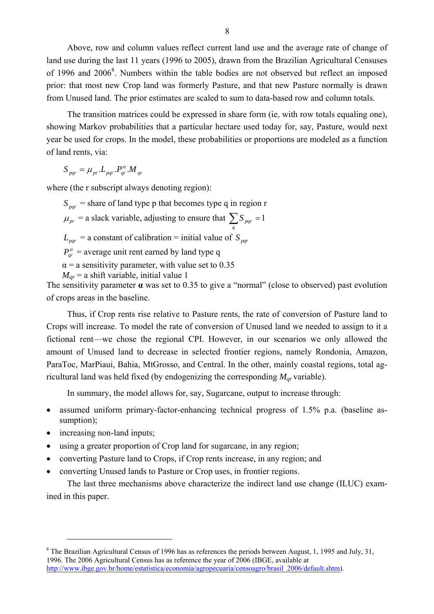Above, row and column values reflect current land use and the average rate of change of land use during the last 11 years (1996 to 2005), drawn from the Brazilian Agricultural Censuses of 1996 and 2006<sup>8</sup>. Numbers within the table bodies are not observed but reflect an imposed prior: that most new Crop land was formerly Pasture, and that new Pasture normally is drawn from Unused land. The prior estimates are scaled to sum to data-based row and column totals.

The transition matrices could be expressed in share form (ie, with row totals equaling one), showing Markov probabilities that a particular hectare used today for, say, Pasture, would next year be used for crops. In the model, these probabilities or proportions are modeled as a function of land rents, via:

 $S_{par} = \mu_{pr} L_{par} P_{ar}^{\alpha} M_{ar}$ 

where (the r subscript always denoting region):

 $S_{\text{part}}$  = share of land type p that becomes type q in region r  $\mu_{pr}$  = a slack variable, adjusting to ensure that  $\sum S_{pqr} = 1$ *q*  $L_{pqr}$  = a constant of calibration = initial value of  $S_{pqr}$  $P_{ar}^{\alpha}$  = average unit rent earned by land type q  $\alpha$  = a sensitivity parameter, with value set to 0.35  $M_{\text{ar}}$  = a shift variable, initial value 1

The sensitivity parameter **α** was set to 0.35 to give a "normal" (close to observed) past evolution of crops areas in the baseline.

Thus, if Crop rents rise relative to Pasture rents, the rate of conversion of Pasture land to Crops will increase. To model the rate of conversion of Unused land we needed to assign to it a fictional rent—we chose the regional CPI. However, in our scenarios we only allowed the amount of Unused land to decrease in selected frontier regions, namely Rondonia, Amazon, ParaToc, MarPiaui, Bahia, MtGrosso, and Central. In the other, mainly coastal regions, total agricultural land was held fixed (by endogenizing the corresponding  $M_{qr}$  variable).

In summary, the model allows for, say, Sugarcane, output to increase through:

- assumed uniform primary-factor-enhancing technical progress of 1.5% p.a. (baseline assumption);
- increasing non-land inputs;

 $\overline{a}$ 

- using a greater proportion of Crop land for sugarcane, in any region;
- converting Pasture land to Crops, if Crop rents increase, in any region; and
- converting Unused lands to Pasture or Crop uses, in frontier regions.

The last three mechanisms above characterize the indirect land use change (ILUC) examined in this paper.

 $8$  The Brazilian Agricultural Census of 1996 has as references the periods between August, 1, 1995 and July, 31, 1996. The 2006 Agricultural Census has as reference the year of 2006 (IBGE, available at http://www.ibge.gov.br/home/estatistica/economia/agropecuaria/censoagro/brasil\_2006/default.shtm).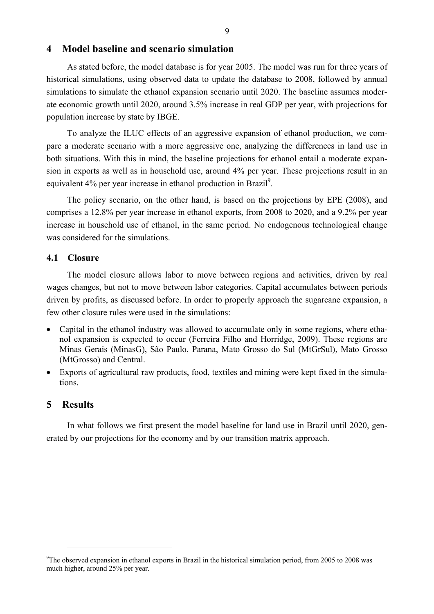#### **4 Model baseline and scenario simulation**

As stated before, the model database is for year 2005. The model was run for three years of historical simulations, using observed data to update the database to 2008, followed by annual simulations to simulate the ethanol expansion scenario until 2020. The baseline assumes moderate economic growth until 2020, around 3.5% increase in real GDP per year, with projections for population increase by state by IBGE.

To analyze the ILUC effects of an aggressive expansion of ethanol production, we compare a moderate scenario with a more aggressive one, analyzing the differences in land use in both situations. With this in mind, the baseline projections for ethanol entail a moderate expansion in exports as well as in household use, around 4% per year. These projections result in an equivalent 4% per year increase in ethanol production in Brazil<sup>9</sup>.

The policy scenario, on the other hand, is based on the projections by EPE (2008), and comprises a 12.8% per year increase in ethanol exports, from 2008 to 2020, and a 9.2% per year increase in household use of ethanol, in the same period. No endogenous technological change was considered for the simulations.

#### **4.1 Closure**

The model closure allows labor to move between regions and activities, driven by real wages changes, but not to move between labor categories. Capital accumulates between periods driven by profits, as discussed before. In order to properly approach the sugarcane expansion, a few other closure rules were used in the simulations:

- Capital in the ethanol industry was allowed to accumulate only in some regions, where ethanol expansion is expected to occur (Ferreira Filho and Horridge, 2009). These regions are Minas Gerais (MinasG), São Paulo, Parana, Mato Grosso do Sul (MtGrSul), Mato Grosso (MtGrosso) and Central.
- Exports of agricultural raw products, food, textiles and mining were kept fixed in the simulations.

#### **5 Results**

 $\overline{a}$ 

In what follows we first present the model baseline for land use in Brazil until 2020, generated by our projections for the economy and by our transition matrix approach.

<sup>&</sup>lt;sup>9</sup>The observed expansion in ethanol exports in Brazil in the historical simulation period, from 2005 to 2008 was much higher, around 25% per year.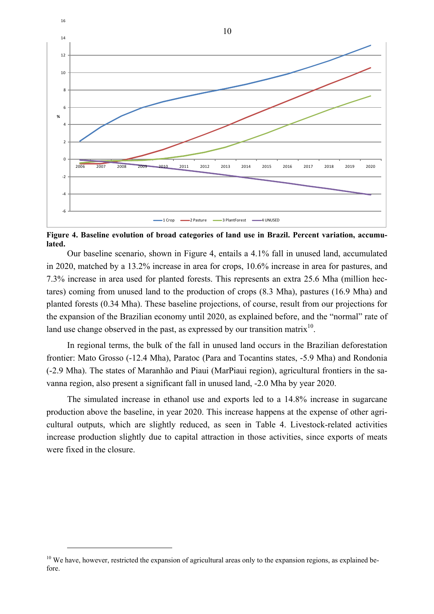

**Figure 4. Baseline evolution of broad categories of land use in Brazil. Percent variation, accumulated.**

Our baseline scenario, shown in Figure 4, entails a 4.1% fall in unused land, accumulated in 2020, matched by a 13.2% increase in area for crops, 10.6% increase in area for pastures, and 7.3% increase in area used for planted forests. This represents an extra 25.6 Mha (million hectares) coming from unused land to the production of crops (8.3 Mha), pastures (16.9 Mha) and planted forests (0.34 Mha). These baseline projections, of course, result from our projections for the expansion of the Brazilian economy until 2020, as explained before, and the "normal" rate of land use change observed in the past, as expressed by our transition matrix<sup>10</sup>.

In regional terms, the bulk of the fall in unused land occurs in the Brazilian deforestation frontier: Mato Grosso (-12.4 Mha), Paratoc (Para and Tocantins states, -5.9 Mha) and Rondonia (-2.9 Mha). The states of Maranhão and Piaui (MarPiaui region), agricultural frontiers in the savanna region, also present a significant fall in unused land, -2.0 Mha by year 2020.

The simulated increase in ethanol use and exports led to a 14.8% increase in sugarcane production above the baseline, in year 2020. This increase happens at the expense of other agricultural outputs, which are slightly reduced, as seen in Table 4. Livestock-related activities increase production slightly due to capital attraction in those activities, since exports of meats were fixed in the closure.

 $\overline{a}$ 

<sup>&</sup>lt;sup>10</sup> We have, however, restricted the expansion of agricultural areas only to the expansion regions, as explained before.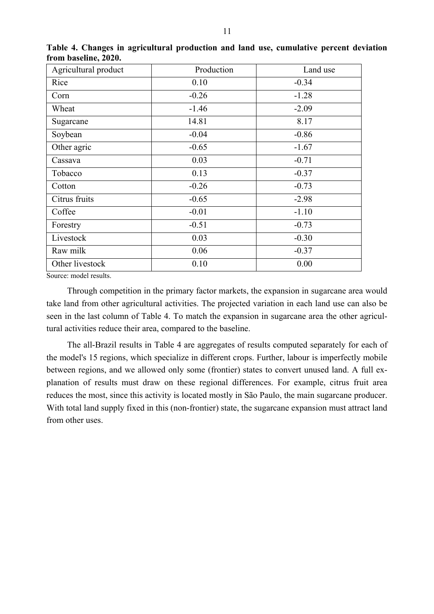| Agricultural product | Production | Land use |
|----------------------|------------|----------|
| Rice                 | 0.10       | $-0.34$  |
| Corn                 | $-0.26$    | $-1.28$  |
| Wheat                | $-1.46$    | $-2.09$  |
| Sugarcane            | 14.81      | 8.17     |
| Soybean              | $-0.04$    | $-0.86$  |
| Other agric          | $-0.65$    | $-1.67$  |
| Cassava              | 0.03       | $-0.71$  |
| Tobacco              | 0.13       | $-0.37$  |
| Cotton               | $-0.26$    | $-0.73$  |
| Citrus fruits        | $-0.65$    | $-2.98$  |
| Coffee               | $-0.01$    | $-1.10$  |
| Forestry             | $-0.51$    | $-0.73$  |
| Livestock            | 0.03       | $-0.30$  |
| Raw milk             | 0.06       | $-0.37$  |
| Other livestock      | 0.10       | 0.00     |

**Table 4. Changes in agricultural production and land use, cumulative percent deviation from baseline, 2020.**

Source: model results.

Through competition in the primary factor markets, the expansion in sugarcane area would take land from other agricultural activities. The projected variation in each land use can also be seen in the last column of Table 4. To match the expansion in sugarcane area the other agricultural activities reduce their area, compared to the baseline.

The all-Brazil results in Table 4 are aggregates of results computed separately for each of the model's 15 regions, which specialize in different crops. Further, labour is imperfectly mobile between regions, and we allowed only some (frontier) states to convert unused land. A full explanation of results must draw on these regional differences. For example, citrus fruit area reduces the most, since this activity is located mostly in São Paulo, the main sugarcane producer. With total land supply fixed in this (non-frontier) state, the sugarcane expansion must attract land from other uses.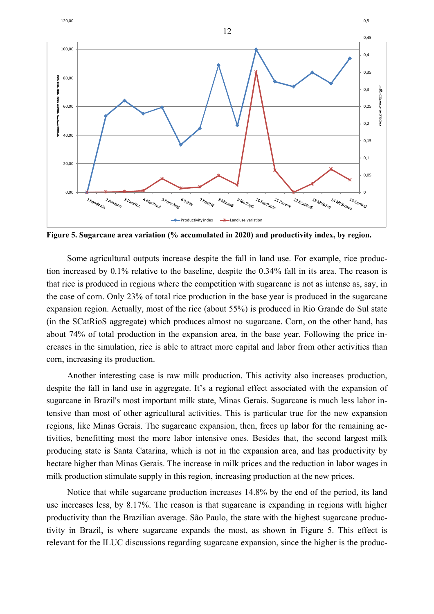

**Figure 5. Sugarcane area variation (% accumulated in 2020) and productivity index, by region.**

Some agricultural outputs increase despite the fall in land use. For example, rice production increased by 0.1% relative to the baseline, despite the 0.34% fall in its area. The reason is that rice is produced in regions where the competition with sugarcane is not as intense as, say, in the case of corn. Only 23% of total rice production in the base year is produced in the sugarcane expansion region. Actually, most of the rice (about 55%) is produced in Rio Grande do Sul state (in the SCatRioS aggregate) which produces almost no sugarcane. Corn, on the other hand, has about 74% of total production in the expansion area, in the base year. Following the price increases in the simulation, rice is able to attract more capital and labor from other activities than corn, increasing its production.

Another interesting case is raw milk production. This activity also increases production, despite the fall in land use in aggregate. It's a regional effect associated with the expansion of sugarcane in Brazil's most important milk state, Minas Gerais. Sugarcane is much less labor intensive than most of other agricultural activities. This is particular true for the new expansion regions, like Minas Gerais. The sugarcane expansion, then, frees up labor for the remaining activities, benefitting most the more labor intensive ones. Besides that, the second largest milk producing state is Santa Catarina, which is not in the expansion area, and has productivity by hectare higher than Minas Gerais. The increase in milk prices and the reduction in labor wages in milk production stimulate supply in this region, increasing production at the new prices.

Notice that while sugarcane production increases 14.8% by the end of the period, its land use increases less, by 8.17%. The reason is that sugarcane is expanding in regions with higher productivity than the Brazilian average. São Paulo, the state with the highest sugarcane productivity in Brazil, is where sugarcane expands the most, as shown in Figure 5. This effect is relevant for the ILUC discussions regarding sugarcane expansion, since the higher is the produc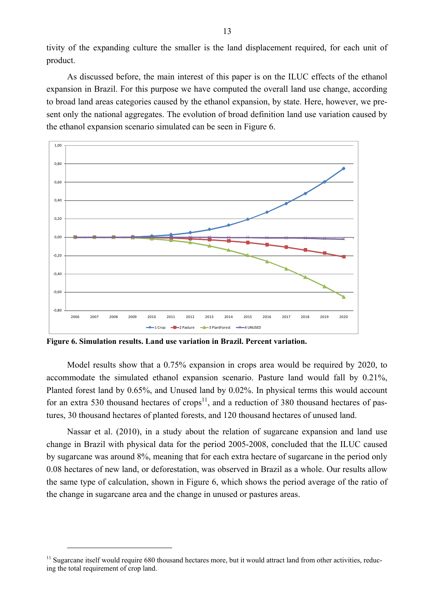tivity of the expanding culture the smaller is the land displacement required, for each unit of product.

As discussed before, the main interest of this paper is on the ILUC effects of the ethanol expansion in Brazil. For this purpose we have computed the overall land use change, according to broad land areas categories caused by the ethanol expansion, by state. Here, however, we present only the national aggregates. The evolution of broad definition land use variation caused by the ethanol expansion scenario simulated can be seen in Figure 6.



**Figure 6. Simulation results. Land use variation in Brazil. Percent variation.**

Model results show that a 0.75% expansion in crops area would be required by 2020, to accommodate the simulated ethanol expansion scenario. Pasture land would fall by 0.21%, Planted forest land by 0.65%, and Unused land by 0.02%. In physical terms this would account for an extra 530 thousand hectares of crops<sup>11</sup>, and a reduction of 380 thousand hectares of pastures, 30 thousand hectares of planted forests, and 120 thousand hectares of unused land.

Nassar et al. (2010), in a study about the relation of sugarcane expansion and land use change in Brazil with physical data for the period 2005-2008, concluded that the ILUC caused by sugarcane was around 8%, meaning that for each extra hectare of sugarcane in the period only 0.08 hectares of new land, or deforestation, was observed in Brazil as a whole. Our results allow the same type of calculation, shown in Figure 6, which shows the period average of the ratio of the change in sugarcane area and the change in unused or pastures areas.

 $\overline{a}$ 

 $11$  Sugarcane itself would require 680 thousand hectares more, but it would attract land from other activities, reducing the total requirement of crop land.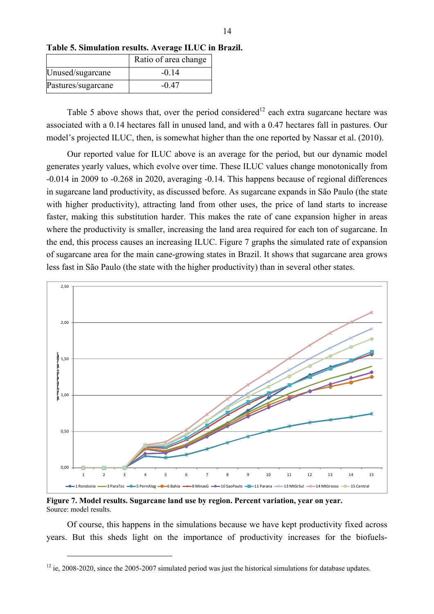|                    | Ratio of area change |
|--------------------|----------------------|
| Unused/sugarcane   | $-0.14$              |
| Pastures/sugarcane | $-0.47$              |

**Table 5. Simulation results. Average ILUC in Brazil.**

Table 5 above shows that, over the period considered<sup>12</sup> each extra sugarcane hectare was associated with a 0.14 hectares fall in unused land, and with a 0.47 hectares fall in pastures. Our model's projected ILUC, then, is somewhat higher than the one reported by Nassar et al. (2010).

Our reported value for ILUC above is an average for the period, but our dynamic model generates yearly values, which evolve over time. These ILUC values change monotonically from -0.014 in 2009 to -0.268 in 2020, averaging -0.14. This happens because of regional differences in sugarcane land productivity, as discussed before. As sugarcane expands in São Paulo (the state with higher productivity), attracting land from other uses, the price of land starts to increase faster, making this substitution harder. This makes the rate of cane expansion higher in areas where the productivity is smaller, increasing the land area required for each ton of sugarcane. In the end, this process causes an increasing ILUC. Figure 7 graphs the simulated rate of expansion of sugarcane area for the main cane-growing states in Brazil. It shows that sugarcane area grows less fast in São Paulo (the state with the higher productivity) than in several other states.



**Figure 7. Model results. Sugarcane land use by region. Percent variation, year on year.** Source: model results.

 $\overline{a}$ 

Of course, this happens in the simulations because we have kept productivity fixed across years. But this sheds light on the importance of productivity increases for the biofuels-

 $12$  ie, 2008-2020, since the 2005-2007 simulated period was just the historical simulations for database updates.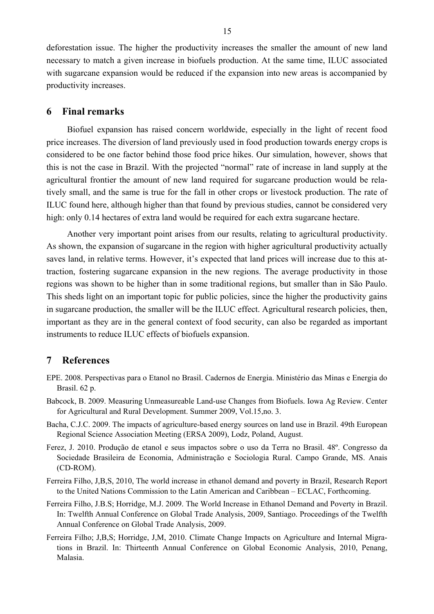deforestation issue. The higher the productivity increases the smaller the amount of new land necessary to match a given increase in biofuels production. At the same time, ILUC associated with sugarcane expansion would be reduced if the expansion into new areas is accompanied by productivity increases.

#### **6 Final remarks**

Biofuel expansion has raised concern worldwide, especially in the light of recent food price increases. The diversion of land previously used in food production towards energy crops is considered to be one factor behind those food price hikes. Our simulation, however, shows that this is not the case in Brazil. With the projected "normal" rate of increase in land supply at the agricultural frontier the amount of new land required for sugarcane production would be relatively small, and the same is true for the fall in other crops or livestock production. The rate of ILUC found here, although higher than that found by previous studies, cannot be considered very high: only 0.14 hectares of extra land would be required for each extra sugarcane hectare.

Another very important point arises from our results, relating to agricultural productivity. As shown, the expansion of sugarcane in the region with higher agricultural productivity actually saves land, in relative terms. However, it's expected that land prices will increase due to this attraction, fostering sugarcane expansion in the new regions. The average productivity in those regions was shown to be higher than in some traditional regions, but smaller than in São Paulo. This sheds light on an important topic for public policies, since the higher the productivity gains in sugarcane production, the smaller will be the ILUC effect. Agricultural research policies, then, important as they are in the general context of food security, can also be regarded as important instruments to reduce ILUC effects of biofuels expansion.

#### **7 References**

- EPE. 2008. Perspectivas para o Etanol no Brasil. Cadernos de Energia. Ministério das Minas e Energia do Brasil. 62 p.
- Babcock, B. 2009. Measuring Unmeasureable Land-use Changes from Biofuels. Iowa Ag Review. Center for Agricultural and Rural Development. Summer 2009, Vol.15,no. 3.
- Bacha, C.J.C. 2009. The impacts of agriculture-based energy sources on land use in Brazil. 49th European Regional Science Association Meeting (ERSA 2009), Lodz, Poland, August.
- Ferez, J. 2010. Produção de etanol e seus impactos sobre o uso da Terra no Brasil. 48º. Congresso da Sociedade Brasileira de Economia, Administração e Sociologia Rural. Campo Grande, MS. Anais (CD-ROM).
- Ferreira Filho, J,B,S, 2010, The world increase in ethanol demand and poverty in Brazil, Research Report to the United Nations Commission to the Latin American and Caribbean – ECLAC, Forthcoming.
- Ferreira Filho, J.B.S; Horridge, M.J. 2009. The World Increase in Ethanol Demand and Poverty in Brazil. In: Twelfth Annual Conference on Global Trade Analysis, 2009, Santiago. Proceedings of the Twelfth Annual Conference on Global Trade Analysis, 2009.
- Ferreira Filho; J,B,S; Horridge, J,M, 2010. Climate Change Impacts on Agriculture and Internal Migrations in Brazil. In: Thirteenth Annual Conference on Global Economic Analysis, 2010, Penang, Malasia.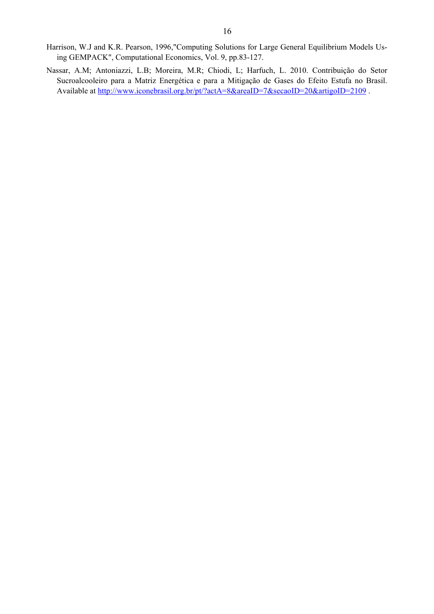- Harrison, W.J and K.R. Pearson, 1996,"Computing Solutions for Large General Equilibrium Models Using GEMPACK", Computational Economics, Vol. 9, pp.83-127.
- Nassar, A.M; Antoniazzi, L.B; Moreira, M.R; Chiodi, L; Harfuch, L. 2010. Contribuição do Setor Sucroalcooleiro para a Matriz Energética e para a Mitigação de Gases do Efeito Estufa no Brasil. Available at http://www.iconebrasil.org.br/pt/?actA=8&areaID=7&secaoID=20&artigoID=2109.